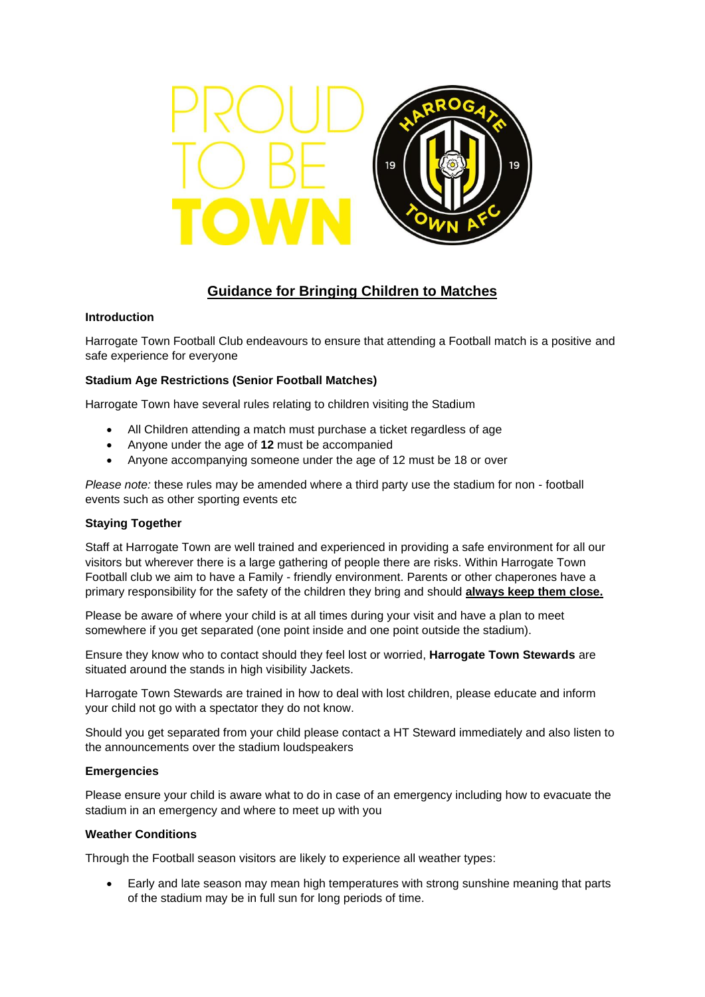

# **Guidance for Bringing Children to Matches**

### **Introduction**

Harrogate Town Football Club endeavours to ensure that attending a Football match is a positive and safe experience for everyone

# **Stadium Age Restrictions (Senior Football Matches)**

Harrogate Town have several rules relating to children visiting the Stadium

- All Children attending a match must purchase a ticket regardless of age
- Anyone under the age of **12** must be accompanied
- Anyone accompanying someone under the age of 12 must be 18 or over

*Please note:* these rules may be amended where a third party use the stadium for non - football events such as other sporting events etc

# **Staying Together**

Staff at Harrogate Town are well trained and experienced in providing a safe environment for all our visitors but wherever there is a large gathering of people there are risks. Within Harrogate Town Football club we aim to have a Family - friendly environment. Parents or other chaperones have a primary responsibility for the safety of the children they bring and should **always keep them close.**

Please be aware of where your child is at all times during your visit and have a plan to meet somewhere if you get separated (one point inside and one point outside the stadium).

Ensure they know who to contact should they feel lost or worried, **Harrogate Town Stewards** are situated around the stands in high visibility Jackets.

Harrogate Town Stewards are trained in how to deal with lost children, please educate and inform your child not go with a spectator they do not know.

Should you get separated from your child please contact a HT Steward immediately and also listen to the announcements over the stadium loudspeakers

#### **Emergencies**

Please ensure your child is aware what to do in case of an emergency including how to evacuate the stadium in an emergency and where to meet up with you

#### **Weather Conditions**

Through the Football season visitors are likely to experience all weather types:

• Early and late season may mean high temperatures with strong sunshine meaning that parts of the stadium may be in full sun for long periods of time.